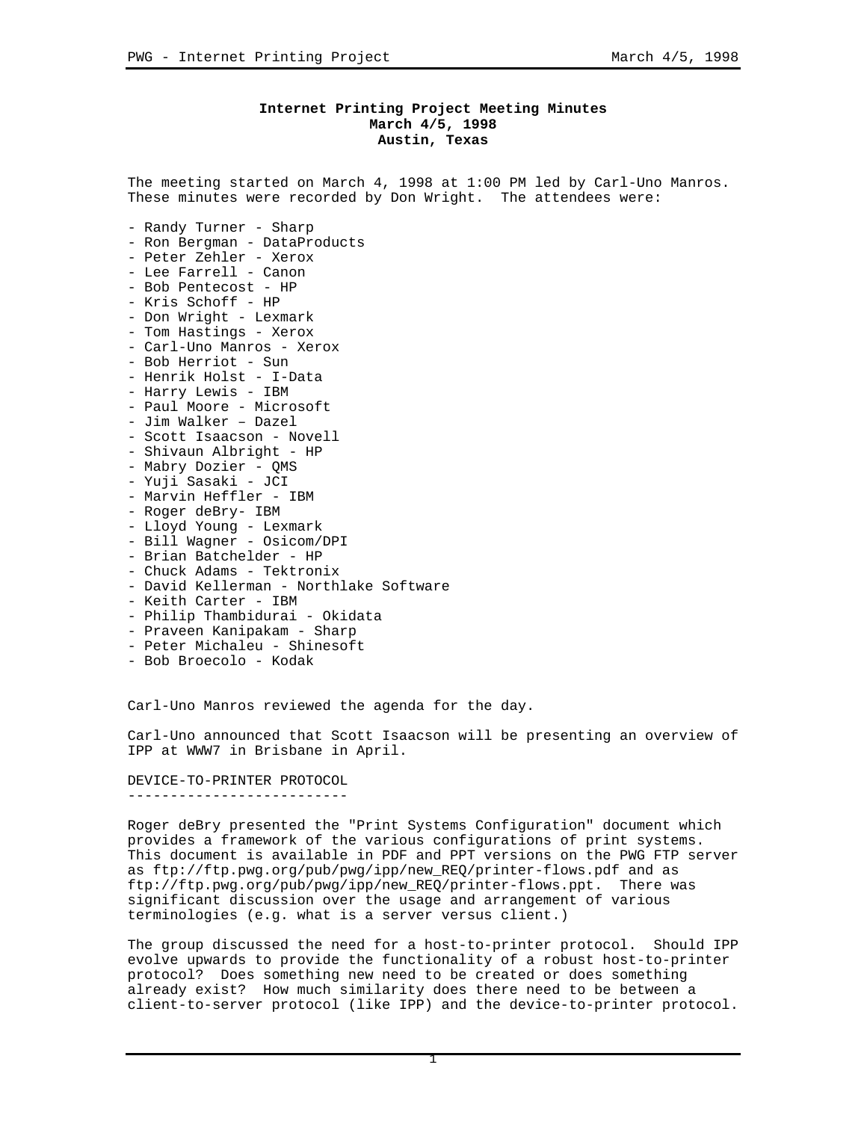## **Internet Printing Project Meeting Minutes March 4/5, 1998 Austin, Texas**

The meeting started on March 4, 1998 at 1:00 PM led by Carl-Uno Manros. These minutes were recorded by Don Wright. The attendees were:

- Randy Turner Sharp
- Ron Bergman DataProducts
- Peter Zehler Xerox
- Lee Farrell Canon
- Bob Pentecost HP
- Kris Schoff HP
- Don Wright Lexmark
- Tom Hastings Xerox
- Carl-Uno Manros Xerox
- Bob Herriot Sun
- Henrik Holst I-Data
- Harry Lewis IBM
- Paul Moore Microsoft
- Jim Walker Dazel
- Scott Isaacson Novell
- Shivaun Albright HP
- Mabry Dozier QMS
- Yuji Sasaki JCI
- Marvin Heffler IBM
- Roger deBry- IBM
- Lloyd Young Lexmark
- Bill Wagner Osicom/DPI
- Brian Batchelder HP
- Chuck Adams Tektronix
- David Kellerman Northlake Software
- Keith Carter IBM
- Philip Thambidurai Okidata
- Praveen Kanipakam Sharp
- Peter Michaleu Shinesoft
- Bob Broecolo Kodak

Carl-Uno Manros reviewed the agenda for the day.

Carl-Uno announced that Scott Isaacson will be presenting an overview of IPP at WWW7 in Brisbane in April.

DEVICE-TO-PRINTER PROTOCOL --------------------------

Roger deBry presented the "Print Systems Configuration" document which provides a framework of the various configurations of print systems. This document is available in PDF and PPT versions on the PWG FTP server as ftp://ftp.pwg.org/pub/pwg/ipp/new\_REQ/printer-flows.pdf and as ftp://ftp.pwg.org/pub/pwg/ipp/new\_REQ/printer-flows.ppt. There was significant discussion over the usage and arrangement of various terminologies (e.g. what is a server versus client.)

The group discussed the need for a host-to-printer protocol. Should IPP evolve upwards to provide the functionality of a robust host-to-printer protocol? Does something new need to be created or does something already exist? How much similarity does there need to be between a client-to-server protocol (like IPP) and the device-to-printer protocol.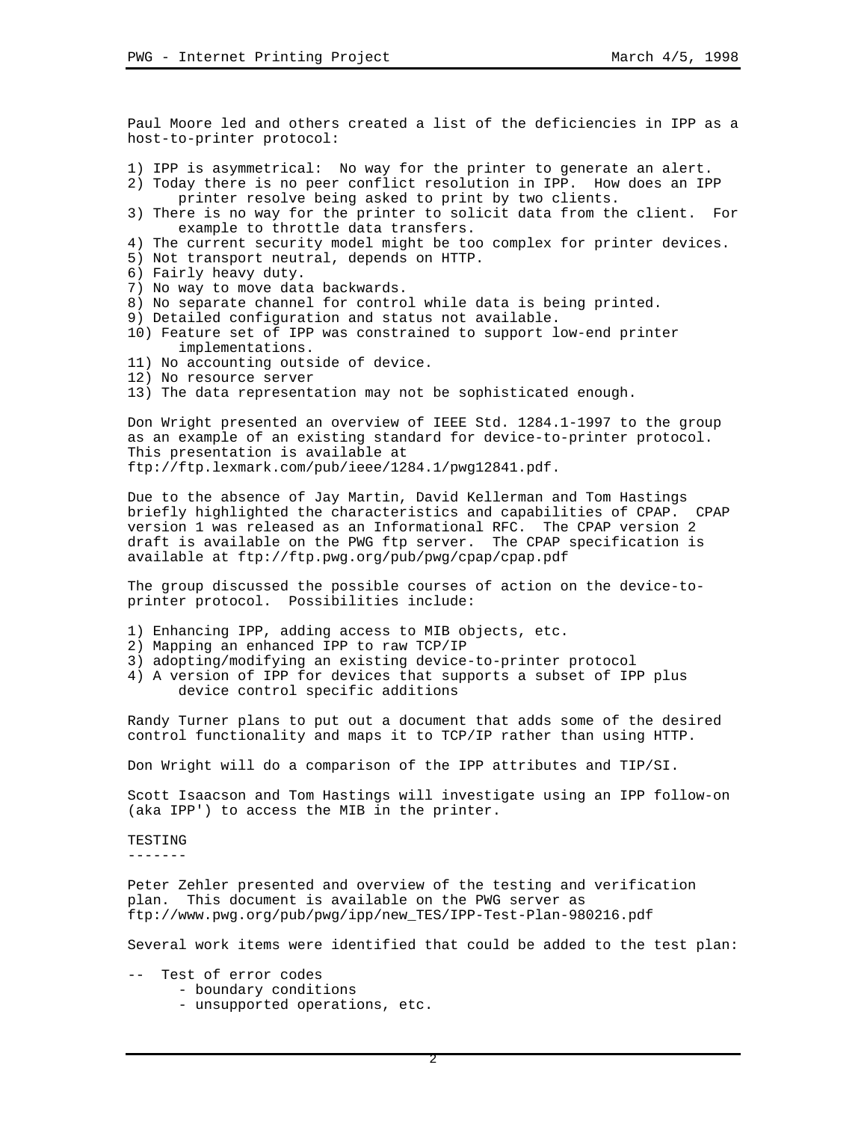Paul Moore led and others created a list of the deficiencies in IPP as a host-to-printer protocol:

1) IPP is asymmetrical: No way for the printer to generate an alert.

- 2) Today there is no peer conflict resolution in IPP. How does an IPP printer resolve being asked to print by two clients.
- 3) There is no way for the printer to solicit data from the client. For example to throttle data transfers.
- 4) The current security model might be too complex for printer devices.
- 5) Not transport neutral, depends on HTTP.
- 6) Fairly heavy duty.
- 7) No way to move data backwards.
- 8) No separate channel for control while data is being printed.
- 9) Detailed configuration and status not available.
- 10) Feature set of IPP was constrained to support low-end printer implementations.
- 11) No accounting outside of device.
- 12) No resource server
- 13) The data representation may not be sophisticated enough.

Don Wright presented an overview of IEEE Std. 1284.1-1997 to the group as an example of an existing standard for device-to-printer protocol. This presentation is available at ftp://ftp.lexmark.com/pub/ieee/1284.1/pwg12841.pdf.

Due to the absence of Jay Martin, David Kellerman and Tom Hastings briefly highlighted the characteristics and capabilities of CPAP. CPAP version 1 was released as an Informational RFC. The CPAP version 2 draft is available on the PWG ftp server. The CPAP specification is available at ftp://ftp.pwg.org/pub/pwg/cpap/cpap.pdf

The group discussed the possible courses of action on the device-toprinter protocol. Possibilities include:

- 1) Enhancing IPP, adding access to MIB objects, etc.
- 2) Mapping an enhanced IPP to raw TCP/IP
- 3) adopting/modifying an existing device-to-printer protocol
- 4) A version of IPP for devices that supports a subset of IPP plus device control specific additions

Randy Turner plans to put out a document that adds some of the desired control functionality and maps it to TCP/IP rather than using HTTP.

Don Wright will do a comparison of the IPP attributes and TIP/SI.

Scott Isaacson and Tom Hastings will investigate using an IPP follow-on (aka IPP') to access the MIB in the printer.

TESTING

-------

Peter Zehler presented and overview of the testing and verification plan. This document is available on the PWG server as ftp://www.pwg.org/pub/pwg/ipp/new\_TES/IPP-Test-Plan-980216.pdf

Several work items were identified that could be added to the test plan:

- -- Test of error codes
	- boundary conditions
	- unsupported operations, etc.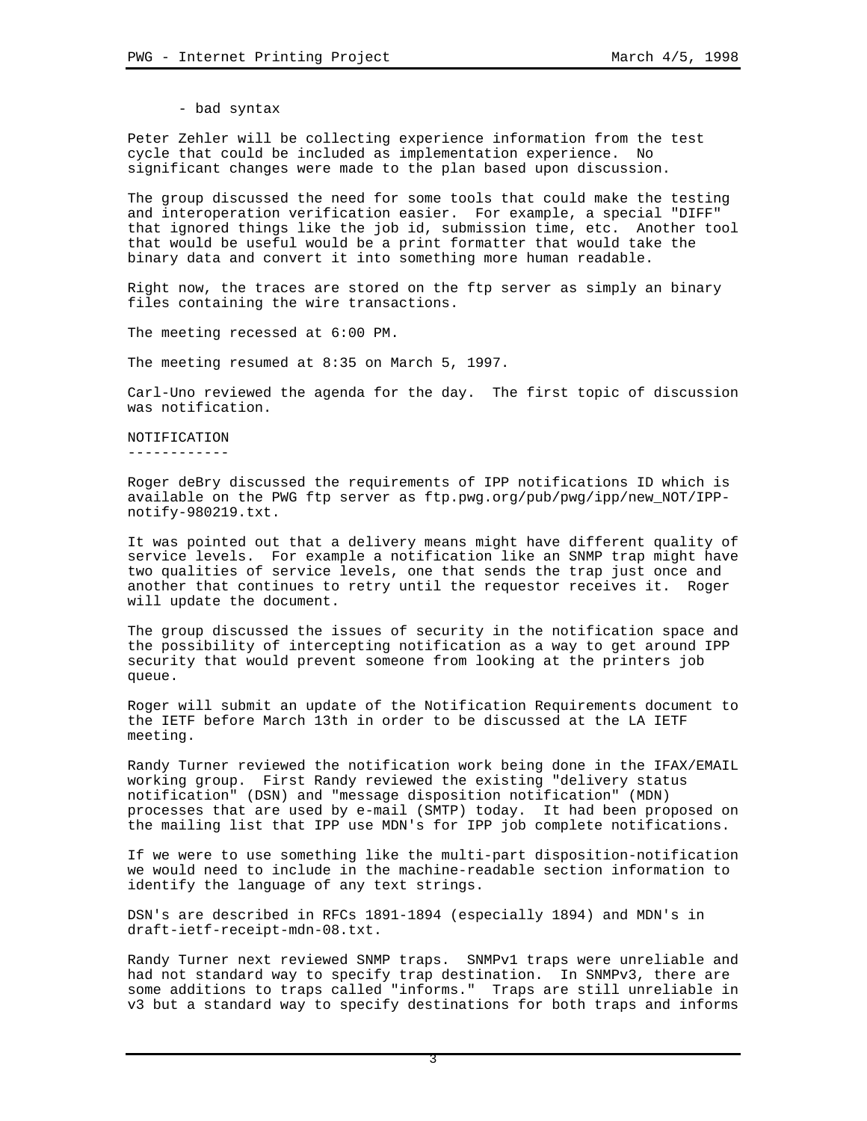- bad syntax

Peter Zehler will be collecting experience information from the test cycle that could be included as implementation experience. No significant changes were made to the plan based upon discussion.

The group discussed the need for some tools that could make the testing and interoperation verification easier. For example, a special "DIFF" that ignored things like the job id, submission time, etc. Another tool that would be useful would be a print formatter that would take the binary data and convert it into something more human readable.

Right now, the traces are stored on the ftp server as simply an binary files containing the wire transactions.

The meeting recessed at 6:00 PM.

The meeting resumed at 8:35 on March 5, 1997.

Carl-Uno reviewed the agenda for the day. The first topic of discussion was notification.

NOTIFICATION ------------

Roger deBry discussed the requirements of IPP notifications ID which is available on the PWG ftp server as ftp.pwg.org/pub/pwg/ipp/new\_NOT/IPPnotify-980219.txt.

It was pointed out that a delivery means might have different quality of service levels. For example a notification like an SNMP trap might have two qualities of service levels, one that sends the trap just once and another that continues to retry until the requestor receives it. Roger will update the document.

The group discussed the issues of security in the notification space and the possibility of intercepting notification as a way to get around IPP security that would prevent someone from looking at the printers job queue.

Roger will submit an update of the Notification Requirements document to the IETF before March 13th in order to be discussed at the LA IETF meeting.

Randy Turner reviewed the notification work being done in the IFAX/EMAIL working group. First Randy reviewed the existing "delivery status notification" (DSN) and "message disposition notification" (MDN) processes that are used by e-mail (SMTP) today. It had been proposed on the mailing list that IPP use MDN's for IPP job complete notifications.

If we were to use something like the multi-part disposition-notification we would need to include in the machine-readable section information to identify the language of any text strings.

DSN's are described in RFCs 1891-1894 (especially 1894) and MDN's in draft-ietf-receipt-mdn-08.txt.

Randy Turner next reviewed SNMP traps. SNMPv1 traps were unreliable and had not standard way to specify trap destination. In SNMPv3, there are some additions to traps called "informs." Traps are still unreliable in v3 but a standard way to specify destinations for both traps and informs

3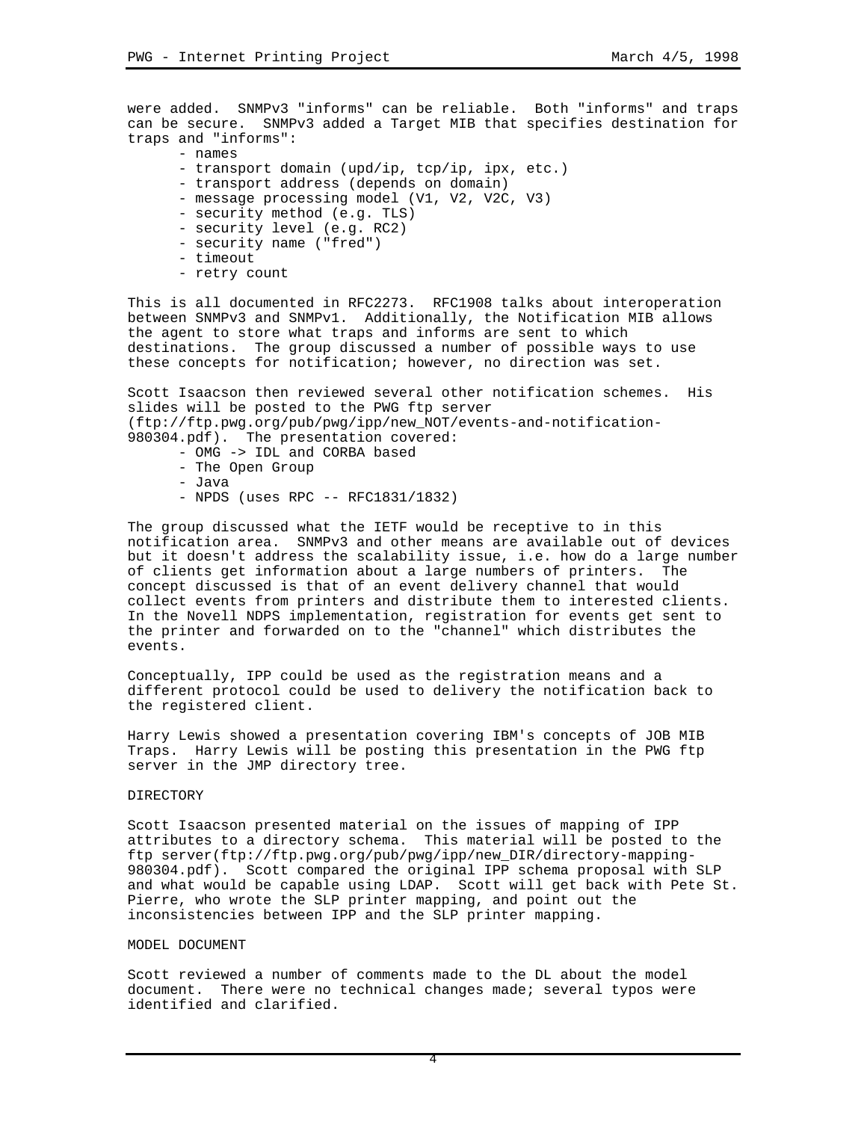were added. SNMPv3 "informs" can be reliable. Both "informs" and traps can be secure. SNMPv3 added a Target MIB that specifies destination for traps and "informs":

- names

- transport domain (upd/ip, tcp/ip, ipx, etc.)
- transport address (depends on domain)
- message processing model (V1, V2, V2C, V3)
- security method (e.g. TLS)
- security level (e.g. RC2)
- security name ("fred")
- timeout
- retry count

This is all documented in RFC2273. RFC1908 talks about interoperation between SNMPv3 and SNMPv1. Additionally, the Notification MIB allows the agent to store what traps and informs are sent to which destinations. The group discussed a number of possible ways to use these concepts for notification; however, no direction was set.

Scott Isaacson then reviewed several other notification schemes. His slides will be posted to the PWG ftp server (ftp://ftp.pwg.org/pub/pwg/ipp/new\_NOT/events-and-notification-980304.pdf). The presentation covered:

- OMG -> IDL and CORBA based
- The Open Group
- Java
- NPDS (uses RPC -- RFC1831/1832)

The group discussed what the IETF would be receptive to in this notification area. SNMPv3 and other means are available out of devices but it doesn't address the scalability issue, i.e. how do a large number of clients get information about a large numbers of printers. The concept discussed is that of an event delivery channel that would collect events from printers and distribute them to interested clients. In the Novell NDPS implementation, registration for events get sent to the printer and forwarded on to the "channel" which distributes the events.

Conceptually, IPP could be used as the registration means and a different protocol could be used to delivery the notification back to the registered client.

Harry Lewis showed a presentation covering IBM's concepts of JOB MIB Traps. Harry Lewis will be posting this presentation in the PWG ftp server in the JMP directory tree.

## DIRECTORY

Scott Isaacson presented material on the issues of mapping of IPP attributes to a directory schema. This material will be posted to the ftp server(ftp://ftp.pwg.org/pub/pwg/ipp/new\_DIR/directory-mapping-980304.pdf). Scott compared the original IPP schema proposal with SLP and what would be capable using LDAP. Scott will get back with Pete St. Pierre, who wrote the SLP printer mapping, and point out the inconsistencies between IPP and the SLP printer mapping.

## MODEL DOCUMENT

Scott reviewed a number of comments made to the DL about the model document. There were no technical changes made; several typos were identified and clarified.

4